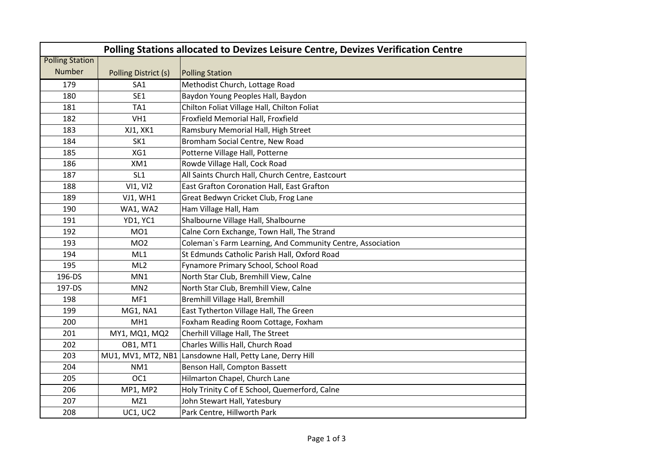| Polling Stations allocated to Devizes Leisure Centre, Devizes Verification Centre |                      |                                                            |  |  |  |
|-----------------------------------------------------------------------------------|----------------------|------------------------------------------------------------|--|--|--|
| <b>Polling Station</b>                                                            |                      |                                                            |  |  |  |
| <b>Number</b>                                                                     | Polling District (s) | <b>Polling Station</b>                                     |  |  |  |
| 179                                                                               | SA <sub>1</sub>      | Methodist Church, Lottage Road                             |  |  |  |
| 180                                                                               | SE1                  | Baydon Young Peoples Hall, Baydon                          |  |  |  |
| 181                                                                               | TA <sub>1</sub>      | Chilton Foliat Village Hall, Chilton Foliat                |  |  |  |
| 182                                                                               | VH1                  | Froxfield Memorial Hall, Froxfield                         |  |  |  |
| 183                                                                               | XJ1, XK1             | Ramsbury Memorial Hall, High Street                        |  |  |  |
| 184                                                                               | SK <sub>1</sub>      | Bromham Social Centre, New Road                            |  |  |  |
| 185                                                                               | XG1                  | Potterne Village Hall, Potterne                            |  |  |  |
| 186                                                                               | XM1                  | Rowde Village Hall, Cock Road                              |  |  |  |
| 187                                                                               | SL <sub>1</sub>      | All Saints Church Hall, Church Centre, Eastcourt           |  |  |  |
| 188                                                                               | <b>VI1, VI2</b>      | East Grafton Coronation Hall, East Grafton                 |  |  |  |
| 189                                                                               | <b>VJ1, WH1</b>      | Great Bedwyn Cricket Club, Frog Lane                       |  |  |  |
| 190                                                                               | WA1, WA2             | Ham Village Hall, Ham                                      |  |  |  |
| 191                                                                               | <b>YD1, YC1</b>      | Shalbourne Village Hall, Shalbourne                        |  |  |  |
| 192                                                                               | MO1                  | Calne Corn Exchange, Town Hall, The Strand                 |  |  |  |
| 193                                                                               | MO <sub>2</sub>      | Coleman's Farm Learning, And Community Centre, Association |  |  |  |
| 194                                                                               | ML1                  | St Edmunds Catholic Parish Hall, Oxford Road               |  |  |  |
| 195                                                                               | ML2                  | Fynamore Primary School, School Road                       |  |  |  |
| 196-DS                                                                            | MN1                  | North Star Club, Bremhill View, Calne                      |  |  |  |
| 197-DS                                                                            | MN <sub>2</sub>      | North Star Club, Bremhill View, Calne                      |  |  |  |
| 198                                                                               | MF1                  | Bremhill Village Hall, Bremhill                            |  |  |  |
| 199                                                                               | MG1, NA1             | East Tytherton Village Hall, The Green                     |  |  |  |
| 200                                                                               | MH <sub>1</sub>      | Foxham Reading Room Cottage, Foxham                        |  |  |  |
| 201                                                                               | MY1, MQ1, MQ2        | Cherhill Village Hall, The Street                          |  |  |  |
| 202                                                                               | <b>OB1, MT1</b>      | Charles Willis Hall, Church Road                           |  |  |  |
| 203                                                                               | MU1, MV1, MT2, NB1   | Lansdowne Hall, Petty Lane, Derry Hill                     |  |  |  |
| 204                                                                               | NM <sub>1</sub>      | Benson Hall, Compton Bassett                               |  |  |  |
| 205                                                                               | OC1                  | Hilmarton Chapel, Church Lane                              |  |  |  |
| 206                                                                               | MP1, MP2             | Holy Trinity C of E School, Quemerford, Calne              |  |  |  |
| 207                                                                               | MZ1                  | John Stewart Hall, Yatesbury                               |  |  |  |
| 208                                                                               | <b>UC1, UC2</b>      | Park Centre, Hillworth Park                                |  |  |  |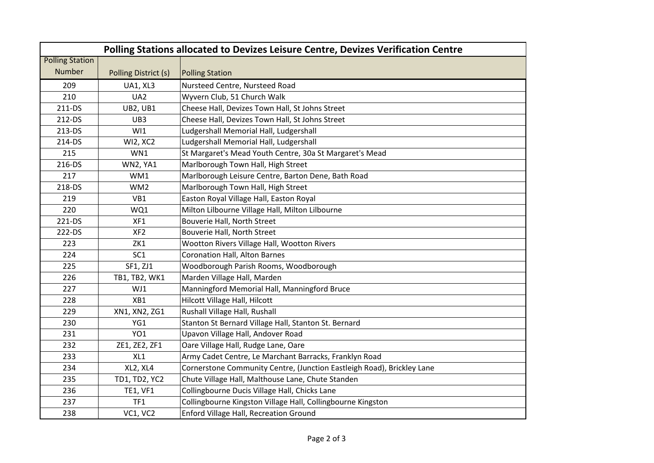| Polling Stations allocated to Devizes Leisure Centre, Devizes Verification Centre |                      |                                                                        |  |  |
|-----------------------------------------------------------------------------------|----------------------|------------------------------------------------------------------------|--|--|
| <b>Polling Station</b>                                                            |                      |                                                                        |  |  |
| <b>Number</b>                                                                     | Polling District (s) | <b>Polling Station</b>                                                 |  |  |
| 209                                                                               | <b>UA1, XL3</b>      | Nursteed Centre, Nursteed Road                                         |  |  |
| 210                                                                               | UA <sub>2</sub>      | Wyvern Club, 51 Church Walk                                            |  |  |
| 211-DS                                                                            | <b>UB2, UB1</b>      | Cheese Hall, Devizes Town Hall, St Johns Street                        |  |  |
| 212-DS                                                                            | UB3                  | Cheese Hall, Devizes Town Hall, St Johns Street                        |  |  |
| 213-DS                                                                            | W11                  | Ludgershall Memorial Hall, Ludgershall                                 |  |  |
| 214-DS                                                                            | <b>WI2, XC2</b>      | Ludgershall Memorial Hall, Ludgershall                                 |  |  |
| 215                                                                               | WN1                  | St Margaret's Mead Youth Centre, 30a St Margaret's Mead                |  |  |
| 216-DS                                                                            | WN2, YA1             | Marlborough Town Hall, High Street                                     |  |  |
| 217                                                                               | WM1                  | Marlborough Leisure Centre, Barton Dene, Bath Road                     |  |  |
| 218-DS                                                                            | WM <sub>2</sub>      | Marlborough Town Hall, High Street                                     |  |  |
| 219                                                                               | VB1                  | Easton Royal Village Hall, Easton Royal                                |  |  |
| 220                                                                               | WQ1                  | Milton Lilbourne Village Hall, Milton Lilbourne                        |  |  |
| 221-DS                                                                            | XF1                  | Bouverie Hall, North Street                                            |  |  |
| 222-DS                                                                            | XF <sub>2</sub>      | Bouverie Hall, North Street                                            |  |  |
| 223                                                                               | ZK1                  | Wootton Rivers Village Hall, Wootton Rivers                            |  |  |
| 224                                                                               | SC <sub>1</sub>      | <b>Coronation Hall, Alton Barnes</b>                                   |  |  |
| 225                                                                               | SF1, ZJ1             | Woodborough Parish Rooms, Woodborough                                  |  |  |
| 226                                                                               | TB1, TB2, WK1        | Marden Village Hall, Marden                                            |  |  |
| 227                                                                               | WJ1                  | Manningford Memorial Hall, Manningford Bruce                           |  |  |
| 228                                                                               | XB1                  | Hilcott Village Hall, Hilcott                                          |  |  |
| 229                                                                               | XN1, XN2, ZG1        | Rushall Village Hall, Rushall                                          |  |  |
| 230                                                                               | YG1                  | Stanton St Bernard Village Hall, Stanton St. Bernard                   |  |  |
| 231                                                                               | YO <sub>1</sub>      | Upavon Village Hall, Andover Road                                      |  |  |
| 232                                                                               | ZE1, ZE2, ZF1        | Oare Village Hall, Rudge Lane, Oare                                    |  |  |
| 233                                                                               | XL1                  | Army Cadet Centre, Le Marchant Barracks, Franklyn Road                 |  |  |
| 234                                                                               | XL2, XL4             | Cornerstone Community Centre, (Junction Eastleigh Road), Brickley Lane |  |  |
| 235                                                                               | TD1, TD2, YC2        | Chute Village Hall, Malthouse Lane, Chute Standen                      |  |  |
| 236                                                                               | <b>TE1, VF1</b>      | Collingbourne Ducis Village Hall, Chicks Lane                          |  |  |
| 237                                                                               | TF1                  | Collingbourne Kingston Village Hall, Collingbourne Kingston            |  |  |
| 238                                                                               | VC1, VC2             | Enford Village Hall, Recreation Ground                                 |  |  |